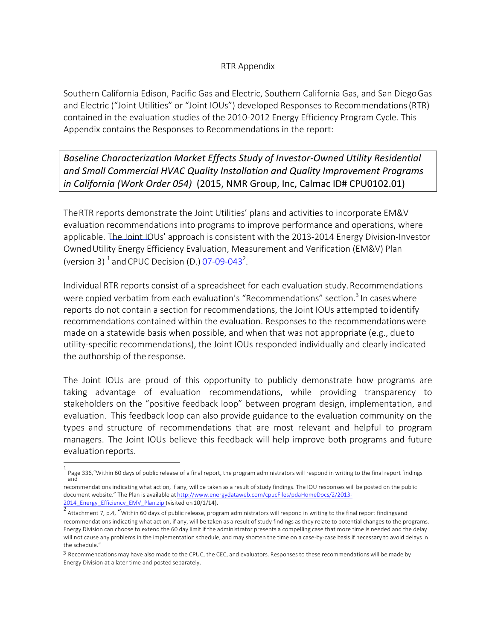# RTR Appendix

Southern California Edison, Pacific Gas and Electric, Southern California Gas, and San DiegoGas and Electric ("Joint Utilities" or "Joint IOUs") developed Responses to Recommendations(RTR) contained in the evaluation studies of the 2010-2012 Energy Efficiency Program Cycle. This Appendix contains the Responses to Recommendations in the report:

**Baseline Characterization Market Effects Study of Investor-Owned Utility Residential** and Small Commercial HVAC Quality Installation and Quality Improvement Programs *in California (Work Order 054)* (2015, NMR Group, Inc, Calmac ID# CPU0102.01)

TheRTR reports demonstrate the Joint Utilities' plans and activities to incorporate EM&V evaluation recommendations into programs to improve performance and operations, where applicable. The Joint IOUs' approach is consistent with the 2013-2014 Energy Division-Investor OwnedUtility Energy Efficiency Evaluation, Measurement and Verification (EM&V) Plan (version 3)  $^1$  and CPUC Decision (D.) 07-09-043<sup>2</sup>.

Individual RTR reports consist of a spreadsheet for each evaluation study.Recommendations were copied verbatim from each evaluation's "Recommendations" section.<sup>3</sup> In cases where reports do not contain a section for recommendations, the Joint IOUs attempted to identify recommendations contained within the evaluation. Responses to the recommendationswere made on a statewide basis when possible, and when that was not appropriate (e.g., dueto utility-specific recommendations), the Joint IOUs responded individually and clearly indicated the authorship of the response.

The Joint IOUs are proud of this opportunity to publicly demonstrate how programs are taking advantage of evaluation recommendations, while providing transparency to stakeholders on the "positive feedback loop" between program design, implementation, and evaluation. This feedback loop can also provide guidance to the evaluation community on the types and structure of recommendations that are most relevant and helpful to program managers. The Joint IOUs believe this feedback will help improve both programs and future evaluationreports.

<sup>1</sup> Page 336,"Within 60 days of public release of a final report, the program administrators will respond in writing to the final report findings and

recommendations indicating what action, if any, will be taken as a result of study findings. The IOU responses will be posted on the public document website." The Plan is available at http://www.energydataweb.com/cpucFiles/pdaHomeDocs/2/2013- 2014\_Energy\_Efficiency\_EMV\_Plan.zip (visited on 10/1/14).

Attachment 7, p.4, "Within 60 days of public release, program administrators will respond in writing to the final report findingsand recommendations indicating what action, if any, will be taken as a result of study findings as they relate to potential changes to the programs. Energy Division can choose to extend the 60 day limit if the administrator presents a compelling case that more time is needed and the delay will not cause any problems in the implementation schedule, and may shorten the time on a case-by-case basis if necessary to avoid delays in the schedule."

<sup>3</sup> Recommendations may have also made to the CPUC, the CEC, and evaluators. Responses to these recommendations will be made by Energy Division at a later time and posted separately.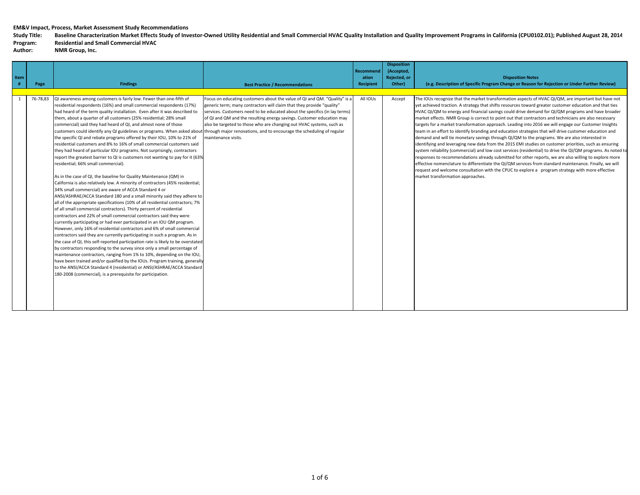Study Title: Baseline Characterization Market Effects Study of Investor-Owned Utility Residential and Small Commercial HVAC Quality Installation and Quality Improvement Programs in California (CPU0102.01); Published August

```
Program: Residential and Small Commercial HVAC
```

| Item |          |                                                                                                                                                                                                                                                                                                                                                                                                                                                                                                                                                                                                                                                                                                                                                                                                                                                                                                                                                                                                                                                                                                                                                                                                                                                                                                                                                                                                                                                                                                                                                                                                                                                                                                                                                                                                                                                                                                                                                                                                                                                                                                             |                                                                                                                                                                                                                                                                                                                                                                                                          | <b>Recommend</b><br>ation | <b>Disposition</b><br>(Accepted,<br>Rejected, or | <b>Disposition Notes</b>                                                                                                                                                                                                                                                                                                                                                                                                                                                                                                                                                                                                                                                                                                                                                                                                                                                                                                                                                                                                                                                                                                                                                                                                                                                                                                              |
|------|----------|-------------------------------------------------------------------------------------------------------------------------------------------------------------------------------------------------------------------------------------------------------------------------------------------------------------------------------------------------------------------------------------------------------------------------------------------------------------------------------------------------------------------------------------------------------------------------------------------------------------------------------------------------------------------------------------------------------------------------------------------------------------------------------------------------------------------------------------------------------------------------------------------------------------------------------------------------------------------------------------------------------------------------------------------------------------------------------------------------------------------------------------------------------------------------------------------------------------------------------------------------------------------------------------------------------------------------------------------------------------------------------------------------------------------------------------------------------------------------------------------------------------------------------------------------------------------------------------------------------------------------------------------------------------------------------------------------------------------------------------------------------------------------------------------------------------------------------------------------------------------------------------------------------------------------------------------------------------------------------------------------------------------------------------------------------------------------------------------------------------|----------------------------------------------------------------------------------------------------------------------------------------------------------------------------------------------------------------------------------------------------------------------------------------------------------------------------------------------------------------------------------------------------------|---------------------------|--------------------------------------------------|---------------------------------------------------------------------------------------------------------------------------------------------------------------------------------------------------------------------------------------------------------------------------------------------------------------------------------------------------------------------------------------------------------------------------------------------------------------------------------------------------------------------------------------------------------------------------------------------------------------------------------------------------------------------------------------------------------------------------------------------------------------------------------------------------------------------------------------------------------------------------------------------------------------------------------------------------------------------------------------------------------------------------------------------------------------------------------------------------------------------------------------------------------------------------------------------------------------------------------------------------------------------------------------------------------------------------------------|
|      | Page     | <b>Findings</b>                                                                                                                                                                                                                                                                                                                                                                                                                                                                                                                                                                                                                                                                                                                                                                                                                                                                                                                                                                                                                                                                                                                                                                                                                                                                                                                                                                                                                                                                                                                                                                                                                                                                                                                                                                                                                                                                                                                                                                                                                                                                                             | <b>Best Practice / Recommendations</b>                                                                                                                                                                                                                                                                                                                                                                   | Recipient                 | Other)                                           | (e.g. Description of Specific Program Change or Reason for Rejection or Under Further Review)                                                                                                                                                                                                                                                                                                                                                                                                                                                                                                                                                                                                                                                                                                                                                                                                                                                                                                                                                                                                                                                                                                                                                                                                                                         |
|      | 76-78,83 | QI awareness among customers is fairly low. Fewer than one-fifth of<br>residential respondents (16%) and small commercial respondents (17%)<br>had heard of the term quality installation. Even after it was described to<br>them, about a quarter of all customers (25% residential; 28% small<br>commercial) said they had heard of QI, and almost none of those<br>customers could identify any QI guidelines or programs. When asked about through major renovations, and to encourage the scheduling of regular<br>the specific QI and rebate programs offered by their IOU, 10% to 21% of<br>residential customers and 8% to 16% of small commercial customers said<br>they had heard of particular IOU programs. Not surprisingly, contractors<br>report the greatest barrier to QI is customers not wanting to pay for it (63%<br>residential; 66% small commercial).<br>As in the case of QI, the baseline for Quality Maintenance (QM) in<br>California is also relatively low. A minority of contractors (45% residential;<br>34% small commercial) are aware of ACCA Standard 4 or<br>ANSI/ASHRAE/ACCA Standard 180 and a small minority said they adhere to<br>all of the appropriate specifications (10% of all residential contractors; 7%<br>of all small commercial contractors). Thirty percent of residential<br>contractors and 22% of small commercial contractors said they were<br>currently participating or had ever participated in an IOU QM program.<br>However, only 16% of residential contractors and 6% of small commercial<br>contractors said they are currently participating in such a program. As in<br>the case of QI, this self-reported participation rate is likely to be overstated<br>by contractors responding to the survey since only a small percentage of<br>maintenance contractors, ranging from 1% to 10%, depending on the IOU,<br>have been trained and/or qualified by the IOUs. Program training, generally<br>to the ANSI/ACCA Standard 4 (residential) or ANSI/ASHRAE/ACCA Standard<br>180-2008 (commercial), is a prerequisite for participation. | Focus on educating customers about the value of QI and QM. "Quality" is a<br>generic term; many contractors will claim that they provide "quality"<br>services. Customers need to be educated about the specifics (in lay terms)<br>of QI and QM and the resulting energy savings. Customer education may<br>also be targeted to those who are changing out HVAC systems, such as<br>maintenance visits. | All IOUs                  | Accept                                           | The IOUs recognize that the market transformation aspects of HVAC QI/QM, are important but have not<br>yet achieved traction. A strategy that shifts resources toward greater customer education and that ties<br>HVAC QI/QM to energy and financial savings could drive demand for QI/QM programs and have broader<br>market effects. NMR Group is correct to point out that contractors and technicians are also necessary<br>targets for a market transformation approach. Leading into 2016 we will engage our Customer Insights<br>team in an effort to identify branding and education strategies that will drive customer education and<br>demand and will tie monetary savings through QI/QM to the programs. We are also interested in<br>identifying and leveraging new data from the 2015 EMI studies on customer priorities, such as ensuring<br>system reliability (commercial) and low cost services (residential) to drive the QI/QM programs. As noted to<br>responses to recommendations already submitted for other reports, we are also willing to explore more<br>effective nomenclature to differentiate the QI/QM services from standard maintenance. Finally, we will<br>request and welcome consultation with the CPUC to explore a program strategy with more effective<br>market transformation approaches. |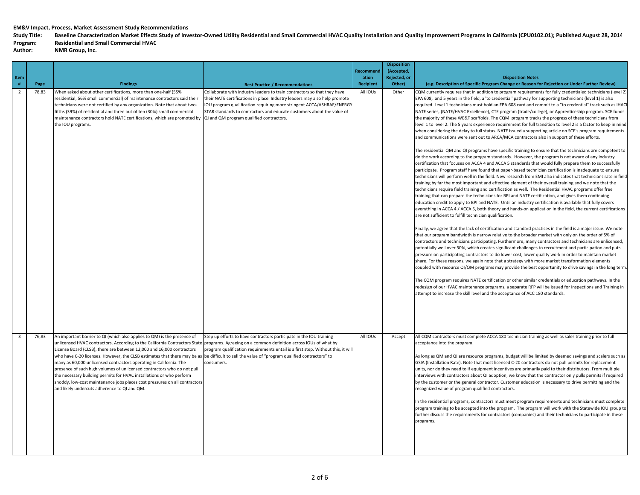Study Title: Baseline Characterization Market Effects Study of Investor-Owned Utility Residential and Small Commercial HVAC Quality Installation and Quality Improvement Programs in California (CPU0102.01); Published August

# **Program: Residential and Small Commercial HVAC**

| Item<br>$\#$            | Page  | <b>Findings</b>                                                                                                                                                                                                                                                                                                                                                                                                                                                                                                                                                                                                                                                                                                                         | <b>Best Practice / Recommendations</b>                                                                                                                                                                                                                                                                                                               | Recommend<br>ation<br><b>Recipient</b> | <b>Disposition</b><br>(Accepted,<br>Rejected, or<br>Other) | <b>Disposition Notes</b><br>(e.g. Description of Specific Program Change or Reason for Rejection or Under Further Review)                                                                                                                                                                                                                                                                                                                                                                                                                                                                                                                                                                                                                                                                                                                                                                                                                                                                                                                                                                                                                                                                                                                                                                                                                                                                                                                                                                                                                                                                                                                                                                                                                                                                                                                                                                                                                                                                                                                                                                                                                                                                                                                                                                                                                                                                                                                                                                                                                                                                                                                                                                                                                                                                                                                                                                                                                                                                                                                                                                                                                                  |
|-------------------------|-------|-----------------------------------------------------------------------------------------------------------------------------------------------------------------------------------------------------------------------------------------------------------------------------------------------------------------------------------------------------------------------------------------------------------------------------------------------------------------------------------------------------------------------------------------------------------------------------------------------------------------------------------------------------------------------------------------------------------------------------------------|------------------------------------------------------------------------------------------------------------------------------------------------------------------------------------------------------------------------------------------------------------------------------------------------------------------------------------------------------|----------------------------------------|------------------------------------------------------------|------------------------------------------------------------------------------------------------------------------------------------------------------------------------------------------------------------------------------------------------------------------------------------------------------------------------------------------------------------------------------------------------------------------------------------------------------------------------------------------------------------------------------------------------------------------------------------------------------------------------------------------------------------------------------------------------------------------------------------------------------------------------------------------------------------------------------------------------------------------------------------------------------------------------------------------------------------------------------------------------------------------------------------------------------------------------------------------------------------------------------------------------------------------------------------------------------------------------------------------------------------------------------------------------------------------------------------------------------------------------------------------------------------------------------------------------------------------------------------------------------------------------------------------------------------------------------------------------------------------------------------------------------------------------------------------------------------------------------------------------------------------------------------------------------------------------------------------------------------------------------------------------------------------------------------------------------------------------------------------------------------------------------------------------------------------------------------------------------------------------------------------------------------------------------------------------------------------------------------------------------------------------------------------------------------------------------------------------------------------------------------------------------------------------------------------------------------------------------------------------------------------------------------------------------------------------------------------------------------------------------------------------------------------------------------------------------------------------------------------------------------------------------------------------------------------------------------------------------------------------------------------------------------------------------------------------------------------------------------------------------------------------------------------------------------------------------------------------------------------------------------------------------------|
| $\overline{2}$          | 78,83 | When asked about other certifications, more than one-half (55%<br>residential; 56% small commercial) of maintenance contractors said their<br>technicians were not certified by any organization. Note that about two-<br>fifths (39%) of residential and three out of ten (30%) small commercial<br>maintenance contractors hold NATE certifications, which are promoted by<br>the IOU programs.                                                                                                                                                                                                                                                                                                                                       | Collaborate with industry leaders to train contractors so that they have<br>heir NATE certifications in place. Industry leaders may also help promote<br>IOU program qualification requiring more stringent ACCA/ASHRAE/ENERGY<br>STAR standards to contractors and educate customers about the value of<br>QI and QM program qualified contractors. | All IOUs                               | Other                                                      | CQM currently requires that in addition to program requirements for fully credentialed technicians (level 2)<br>EPA 608, and 5 years in the field, a 'to credential' pathway for supporting technicians (level 1) is also<br>required. Level 1 technicians must hold an EPA 608 card and commit to a "to credential" track such as IHACI<br>NATE series, (NATE/HVAC Excellence), CTE program (trade/college), or Apprenticeship program. SCE funds<br>the majority of these WE&T scaffolds. The CQM program tracks the progress of these technicians from<br>level 1 to level 2. The 5 years experience requirement for full transition to level 2 is a factor to keep in mind<br>when considering the delay to full status. NATE issued a supporting article on SCE's program requirements<br>and communications were sent out to ARCA/MCA contractors also in support of these efforts.<br>The residential QM and QI programs have specific training to ensure that the technicians are competent to<br>do the work according to the program standards. However, the program is not aware of any industry<br>certification that focuses on ACCA 4 and ACCA 5 standards that would fully prepare them to successfully<br>participate. Program staff have found that paper-based technician certification is inadequate to ensure<br>technicians will perform well in the field. New research from EMI also indicates that technicians rate in field<br>training by far the most important and effective element of their overall training and we note that the<br>technicians require field training and certification as well. The Residential HVAC programs offer free<br>training that can prepare the technicians for BPI and NATE certification, and gives them continuing<br>education credit to apply to BPI and NATE. Until an industry certification is available that fully covers<br>everything in ACCA 4 / ACCA 5, both theory and hands-on application in the field, the current certifications<br>are not sufficient to fulfill technician qualification.<br>Finally, we agree that the lack of certification and standard practices in the field is a major issue. We note<br>that our program bandwidth is narrow relative to the broader market with only on the order of 5% of<br>contractors and technicians participating. Furthermore, many contractors and technicians are unlicensed,<br>potentially well over 50%, which creates significant challenges to recruitment and participation and puts<br>pressure on participating contractors to do lower cost, lower quality work in order to maintain market<br>share. For these reasons, we again note that a strategy with more market transformation elements<br>coupled with resource QI/QM programs may provide the best opportunity to drive savings in the long term.<br>The CQM program requires NATE certification or other similar credentials or education pathways. In the<br>redesign of our HVAC maintenance programs, a separate RFP will be issued for Inspections and Training in<br>attempt to increase the skill level and the acceptance of ACC 180 standards. |
| $\overline{\mathbf{3}}$ | 76,83 | An important barrier to QI (which also applies to QM) is the presence of<br>unlicensed HVAC contractors. According to the California Contractors State<br>License Board (CLSB), there are between 12,000 and 16,000 contractors<br>who have C-20 licenses. However, the CLSB estimates that there may be as be difficult to sell the value of "program qualified contractors" to<br>many as 60,000 unlicensed contractors operating in California. The<br>presence of such high volumes of unlicensed contractors who do not pull<br>the necessary building permits for HVAC installations or who perform<br>shoddy, low-cost maintenance jobs places cost pressures on all contractors<br>and likely undercuts adherence to QI and QM. | Step up efforts to have contractors participate in the IOU training<br>programs. Agreeing on a common definition across IOUs of what by<br>program qualification requirements entail is a first step. Without this, it will<br>consumers.                                                                                                            | All IOUs                               | Accept                                                     | All CQM contractors must complete ACCA 180 technician training as well as sales training prior to full<br>acceptance into the program.<br>As long as QM and QI are resource programs, budget will be limited by deemed savings and scalers such as<br>GSIA (Installation Rate). Note that most licensed C-20 contractors do not pull permits for replacement<br>units, nor do they need to if equipment incentives are primarily paid to their distributors. From multiple<br>interviews with contractors about QI adoption, we know that the contractor only pulls permits if required<br>by the customer or the general contractor. Customer education is necessary to drive permitting and the<br>recognized value of program qualified contractors.<br>In the residential programs, contractors must meet program requirements and technicians must complete<br>program training to be accepted into the program. The program will work with the Statewide IOU group to<br>further discuss the requirements for contractors (companies) and their technicians to participate in these<br>programs.                                                                                                                                                                                                                                                                                                                                                                                                                                                                                                                                                                                                                                                                                                                                                                                                                                                                                                                                                                                                                                                                                                                                                                                                                                                                                                                                                                                                                                                                                                                                                                                                                                                                                                                                                                                                                                                                                                                                                                                                                                                     |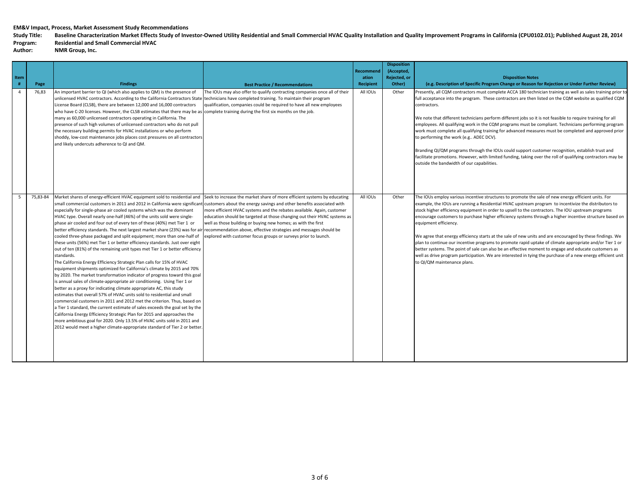Study Title: Baseline Characterization Market Effects Study of Investor-Owned Utility Residential and Small Commercial HVAC Quality Installation and Quality Improvement Programs in California (CPU0102.01); Published August

## **Program: Residential and Small Commercial HVAC**

| <b>Item</b><br>#<br>$\overline{4}$ | Page<br>76,83 | <b>Findings</b><br>An important barrier to QI (which also applies to QM) is the presence of<br>unlicensed HVAC contractors. According to the California Contractors State technicians have completed training. To maintain their program<br>License Board (CLSB), there are between 12,000 and 16,000 contractors                                                                                                                                                                                                                                                                                                                                                                                                                                                                                                                                                                                                                                                                                                                                                                                                                                                                                                                                                                                                                                                                                                                                                                                                                                                                                                                                                                                                                                                                                         | <b>Best Practice / Recommendations</b><br>The IOUs may also offer to qualify contracting companies once all of their<br>qualification, companies could be required to have all new employees                                                                                           | Recommend<br>ation<br><b>Recipient</b><br>All IOUs | <b>Disposition</b><br>(Accepted,<br>Rejected, or<br>Other)<br>Other | <b>Disposition Notes</b><br>(e.g. Description of Specific Program Change or Reason for Rejection or Under Further Review)<br>Presently, all CQM contractors must complete ACCA 180 technician training as well as sales training prior to<br>full acceptance into the program. These contractors are then listed on the CQM website as qualified CQM<br>contractors.                                                                                                                                                                                                                                                                                                                                                                                                                                                                                                                                                               |
|------------------------------------|---------------|-----------------------------------------------------------------------------------------------------------------------------------------------------------------------------------------------------------------------------------------------------------------------------------------------------------------------------------------------------------------------------------------------------------------------------------------------------------------------------------------------------------------------------------------------------------------------------------------------------------------------------------------------------------------------------------------------------------------------------------------------------------------------------------------------------------------------------------------------------------------------------------------------------------------------------------------------------------------------------------------------------------------------------------------------------------------------------------------------------------------------------------------------------------------------------------------------------------------------------------------------------------------------------------------------------------------------------------------------------------------------------------------------------------------------------------------------------------------------------------------------------------------------------------------------------------------------------------------------------------------------------------------------------------------------------------------------------------------------------------------------------------------------------------------------------------|----------------------------------------------------------------------------------------------------------------------------------------------------------------------------------------------------------------------------------------------------------------------------------------|----------------------------------------------------|---------------------------------------------------------------------|------------------------------------------------------------------------------------------------------------------------------------------------------------------------------------------------------------------------------------------------------------------------------------------------------------------------------------------------------------------------------------------------------------------------------------------------------------------------------------------------------------------------------------------------------------------------------------------------------------------------------------------------------------------------------------------------------------------------------------------------------------------------------------------------------------------------------------------------------------------------------------------------------------------------------------|
|                                    |               | who have C-20 licenses. However, the CLSB estimates that there may be as complete training during the first six months on the job.<br>many as 60,000 unlicensed contractors operating in California. The<br>presence of such high volumes of unlicensed contractors who do not pull<br>the necessary building permits for HVAC installations or who perform<br>shoddy, low-cost maintenance jobs places cost pressures on all contractors<br>and likely undercuts adherence to QI and QM.                                                                                                                                                                                                                                                                                                                                                                                                                                                                                                                                                                                                                                                                                                                                                                                                                                                                                                                                                                                                                                                                                                                                                                                                                                                                                                                 |                                                                                                                                                                                                                                                                                        |                                                    |                                                                     | We note that different technicians perform different jobs so it is not feasible to require training for all<br>employees. All qualifying work in the CQM programs must be compliant. Technicians performing program<br>work must complete all qualifying training for advanced measures must be completed and approved prior<br>to performing the work (e.g ADEC DCV).<br>Branding QI/QM programs through the IOUs could support customer recognition, establish trust and<br>facilitate promotions. However, with limited funding, taking over the roll of qualifying contractors may be<br>outside the bandwidth of our capabilities.                                                                                                                                                                                                                                                                                            |
|                                    | 75.83-84      | Market shares of energy-efficient HVAC equipment sold to residential and Seek to increase the market share of more efficient systems by educating<br>small commercial customers in 2011 and 2012 in California were significant customers about the energy savings and other benefits associated with<br>especially for single-phase air cooled systems which was the dominant<br>HVAC type. Overall nearly one-half (46%) of the units sold were single-<br>phase air cooled and four out of every ten of these (40%) met Tier 1 or<br>better efficiency standards. The next largest market share (23%) was for air recommendation above, effective strategies and messages should be<br>cooled three-phase packaged and split equipment; more than one-half of<br>these units (56%) met Tier 1 or better efficiency standards. Just over eight<br>out of ten (81%) of the remaining unit types met Tier 1 or better efficiency<br>standards.<br>The California Energy Efficiency Strategic Plan calls for 15% of HVAC<br>equipment shipments optimized for California's climate by 2015 and 70%<br>by 2020. The market transformation indicator of progress toward this goal<br>is annual sales of climate-appropriate air conditioning. Using Tier 1 or<br>better as a proxy for indicating climate appropriate AC, this study<br>estimates that overall 57% of HVAC units sold to residential and small<br>commercial customers in 2011 and 2012 met the criterion. Thus, based on<br>a Tier 1 standard, the current estimate of sales exceeds the goal set by the<br>California Energy Efficiency Strategic Plan for 2015 and approaches the<br>more ambitious goal for 2020. Only 13.5% of HVAC units sold in 2011 and<br>2012 would meet a higher climate-appropriate standard of Tier 2 or better | more efficient HVAC systems and the rebates available. Again, customer<br>education should be targeted at those changing out their HVAC systems as<br>well as those building or buying new homes; as with the first<br>explored with customer focus groups or surveys prior to launch. | All IOUs                                           | Other                                                               | The IOUs employ various incentive structures to promote the sale of new energy efficient units. For<br>example, the IOUs are running a Residential HVAC upstream program to incentivize the distributors to<br>stock higher efficiency equipment in order to upsell to the contractors. The IOU upstream programs<br>encourage customers to purchase higher efficiency systems through a higher incentive structure based on<br>equipment efficiency.<br>We agree that energy efficiency starts at the sale of new units and are encouraged by these findings. We<br>plan to continue our incentive programs to promote rapid uptake of climate appropriate and/or Tier 1 or<br>better systems. The point of sale can also be an effective moment to engage and educate customers as<br>well as drive program participation. We are interested in tying the purchase of a new energy efficient unit<br>to QI/QM maintenance plans. |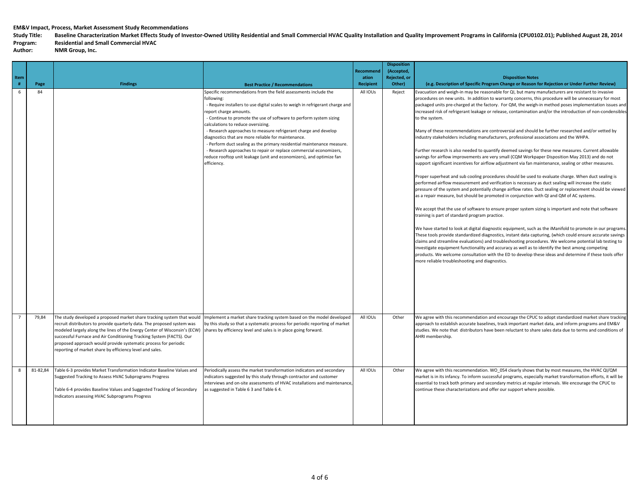Study Title: Baseline Characterization Market Effects Study of Investor-Owned Utility Residential and Small Commercial HVAC Quality Installation and Quality Improvement Programs in California (CPU0102.01); Published August

# **Program: Residential and Small Commercial HVAC**

| Item |          |                                                                                                                                                                                                                                                                                                                                                                                                                                                                                                       |                                                                                                                                                                                                                                                                                                                                                                                                                                                                                                                                                                                                                                                                       | Recommen<br>ation | <b>Disposition</b><br>(Accepted,<br>Rejected, or | <b>Disposition Notes</b>                                                                                                                                                                                                                                                                                                                                                                                                                                                                                                                                                                                                                                                                                                                                                                                                                                                                                                                                                                                                                                                                                                                                                                                                                                                                                                                                                                                                                                                                                                                                                                                                                                                                                                                                                                                                                                                                                                                                                                                                                                                                                                                                             |
|------|----------|-------------------------------------------------------------------------------------------------------------------------------------------------------------------------------------------------------------------------------------------------------------------------------------------------------------------------------------------------------------------------------------------------------------------------------------------------------------------------------------------------------|-----------------------------------------------------------------------------------------------------------------------------------------------------------------------------------------------------------------------------------------------------------------------------------------------------------------------------------------------------------------------------------------------------------------------------------------------------------------------------------------------------------------------------------------------------------------------------------------------------------------------------------------------------------------------|-------------------|--------------------------------------------------|----------------------------------------------------------------------------------------------------------------------------------------------------------------------------------------------------------------------------------------------------------------------------------------------------------------------------------------------------------------------------------------------------------------------------------------------------------------------------------------------------------------------------------------------------------------------------------------------------------------------------------------------------------------------------------------------------------------------------------------------------------------------------------------------------------------------------------------------------------------------------------------------------------------------------------------------------------------------------------------------------------------------------------------------------------------------------------------------------------------------------------------------------------------------------------------------------------------------------------------------------------------------------------------------------------------------------------------------------------------------------------------------------------------------------------------------------------------------------------------------------------------------------------------------------------------------------------------------------------------------------------------------------------------------------------------------------------------------------------------------------------------------------------------------------------------------------------------------------------------------------------------------------------------------------------------------------------------------------------------------------------------------------------------------------------------------------------------------------------------------------------------------------------------------|
| $\#$ | Page     | <b>Findings</b>                                                                                                                                                                                                                                                                                                                                                                                                                                                                                       | <b>Best Practice / Recommendations</b>                                                                                                                                                                                                                                                                                                                                                                                                                                                                                                                                                                                                                                | <b>Recipient</b>  | Other)                                           | (e.g. Description of Specific Program Change or Reason for Rejection or Under Further Review)                                                                                                                                                                                                                                                                                                                                                                                                                                                                                                                                                                                                                                                                                                                                                                                                                                                                                                                                                                                                                                                                                                                                                                                                                                                                                                                                                                                                                                                                                                                                                                                                                                                                                                                                                                                                                                                                                                                                                                                                                                                                        |
| 6    | 84       |                                                                                                                                                                                                                                                                                                                                                                                                                                                                                                       | Specific recommendations from the field assessments include the<br>following:<br>- Require installers to use digital scales to weigh in refrigerant charge and<br>report charge amounts.<br>- Continue to promote the use of software to perform system sizing<br>calculations to reduce oversizing.<br>- Research approaches to measure refrigerant charge and develop<br>diagnostics that are more reliable for maintenance.<br>- Perform duct sealing as the primary residential maintenance measure.<br>- Research approaches to repair or replace commercial economizers,<br>reduce rooftop unit leakage (unit and economizers), and optimize fan<br>efficiency. | All IOUs          | Reject                                           | Evacuation and weigh-in may be reasonable for QI, but many manufacturers are resistant to invasive<br>procedures on new units. In addition to warranty concerns, this procedure will be unnecessary for most<br>packaged units pre-charged at the factory. For QM, the weigh-in method poses implementation issues and<br>increased risk of refrigerant leakage or release, contamination and/or the introduction of non-condensibles<br>to the system.<br>Many of these recommendations are controversial and should be further researched and/or vetted by<br>industry stakeholders including manufacturers, professional associations and the WHPA.<br>Further research is also needed to quantify deemed savings for these new measures. Current allowable<br>savings for airflow improvements are very small (CQM Workpaper Disposition May 2013) and do not<br>support significant incentives for airflow adjustment via fan maintenance, sealing or other measures.<br>Proper superheat and sub cooling procedures should be used to evaluate charge. When duct sealing is<br>performed airflow measurement and verification is necessary as duct sealing will increase the static<br>pressure of the system and potentially change airflow rates. Duct sealing or replacement should be viewed<br>as a repair measure, but should be promoted in conjunction with QI and QM of AC systems.<br>We accept that the use of software to ensure proper system sizing is important and note that software<br>training is part of standard program practice.<br>We have started to look at digital diagnostic equipment, such as the iManifold to promote in our programs.<br>These tools provide standardized diagnostics, instant data capturing, (which could ensure accurate savings<br>claims and streamline evaluations) and troubleshooting procedures. We welcome potential lab testing to<br>investigate equipment functionality and accuracy as well as to identify the best among competing<br>products. We welcome consultation with the ED to develop these ideas and determine if these tools offer<br>more reliable troubleshooting and diagnostics. |
|      | 79,84    | The study developed a proposed market share tracking system that would<br>recruit distributors to provide quarterly data. The proposed system was<br>modeled largely along the lines of the Energy Center of Wisconsin's (ECW) shares by efficiency level and sales is in place going forward.<br>successful Furnace and Air Conditioning Tracking System (FACTS). Our<br>proposed approach would provide systematic process for periodic<br>reporting of market share by efficiency level and sales. | Implement a market share tracking system based on the model developed<br>by this study so that a systematic process for periodic reporting of market                                                                                                                                                                                                                                                                                                                                                                                                                                                                                                                  | All IOUs          | Other                                            | We agree with this recommendation and encourage the CPUC to adopt standardized market share tracking<br>approach to establish accurate baselines, track important market data, and inform programs and EM&V<br>studies. We note that distributors have been reluctant to share sales data due to terms and conditions of<br>AHRI membership.                                                                                                                                                                                                                                                                                                                                                                                                                                                                                                                                                                                                                                                                                                                                                                                                                                                                                                                                                                                                                                                                                                                                                                                                                                                                                                                                                                                                                                                                                                                                                                                                                                                                                                                                                                                                                         |
| 8    | 81-82,84 | Table 6-3 provides Market Transformation Indicator Baseline Values and<br>Suggested Tracking to Assess HVAC Subprograms Progress<br>Table 6-4 provides Baseline Values and Suggested Tracking of Secondary<br>Indicators assessing HVAC Subprograms Progress                                                                                                                                                                                                                                          | Periodically assess the market transformation indicators and secondary<br>indicators suggested by this study through contractor and customer<br>interviews and on-site assessments of HVAC installations and maintenance,<br>as suggested in Table 6 3 and Table 6 4.                                                                                                                                                                                                                                                                                                                                                                                                 | All IOUs          | Other                                            | We agree with this recommendation. WO 054 clearly shows that by most measures, the HVAC QI/QM<br>market is in its infancy. To inform successful programs, especially market transformation efforts, it will be<br>essential to track both primary and secondary metrics at regular intervals. We encourage the CPUC to<br>continue these characterizations and offer our support where possible.                                                                                                                                                                                                                                                                                                                                                                                                                                                                                                                                                                                                                                                                                                                                                                                                                                                                                                                                                                                                                                                                                                                                                                                                                                                                                                                                                                                                                                                                                                                                                                                                                                                                                                                                                                     |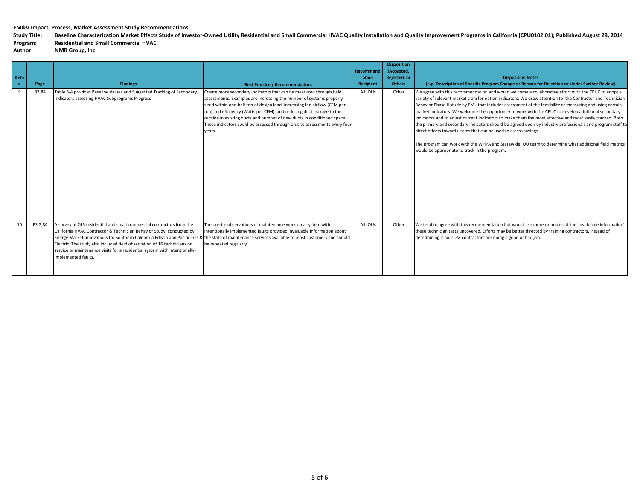Study Title: Baseline Characterization Market Effects Study of Investor-Owned Utility Residential and Small Commercial HVAC Quality Installation and Quality Improvement Programs in California (CPU0102.01); Published August

## **Program: Residential and Small Commercial HVAC**

| Item | Page    | <b>Findings</b>                                                                                                                                                                                                                                                                                                                                                                                                                                                                       | <b>Best Practice / Recommendations</b>                                                                                                                                                                                                                                                                                                                                                                                                                             | <b>Recommend</b><br>ation<br>Recipient | <b>Disposition</b><br>(Accepted,<br>Rejected, or<br>Other) | <b>Disposition Notes</b><br>(e.g. Description of Specific Program Change or Reason for Rejection or Under Further Review)                                                                                                                                                                                                                                                                                                                                                                                                                                                                                                                                                                                                                                                                                                                                                                 |
|------|---------|---------------------------------------------------------------------------------------------------------------------------------------------------------------------------------------------------------------------------------------------------------------------------------------------------------------------------------------------------------------------------------------------------------------------------------------------------------------------------------------|--------------------------------------------------------------------------------------------------------------------------------------------------------------------------------------------------------------------------------------------------------------------------------------------------------------------------------------------------------------------------------------------------------------------------------------------------------------------|----------------------------------------|------------------------------------------------------------|-------------------------------------------------------------------------------------------------------------------------------------------------------------------------------------------------------------------------------------------------------------------------------------------------------------------------------------------------------------------------------------------------------------------------------------------------------------------------------------------------------------------------------------------------------------------------------------------------------------------------------------------------------------------------------------------------------------------------------------------------------------------------------------------------------------------------------------------------------------------------------------------|
| -9   | 82,84   | Table 6-4 provides Baseline Values and Suggested Tracking of Secondary<br>Indicators assessing HVAC Subprograms Progress                                                                                                                                                                                                                                                                                                                                                              | Create more secondary indicators that can be measured through field<br>assessments. Examples are increasing the number of systems properly<br>sized within one-half ton of design load, increasing fan airflow (CFM per<br>ton) and efficiency (Watts per CFM), and reducing duct leakage to the<br>outside in existing ducts and number of new ducts in conditioned space.<br>These indicators could be assessed through on-site assessments every four<br>years. | All IOUs                               | Other                                                      | We agree with this recommendation and would welcome a collaborative effort with the CPUC to adopt a<br>variety of relevant market transformation indicators. We draw attention to the Contractor and Technician<br>Behavior Phase II study by EMI that includes assessment of the feasibility of measuring and using certain<br>market indicators. We welcome the opportunity to work with the CPUC to develop additional secondary<br>indicators and to adjust current indicators to make them the most effective and most easily tracked. Both<br>the primary and secondary indicators should be agreed upon by industry professionals and program staff to<br>direct efforts towards items that can be used to assess savings<br>The program can work with the WHPA and Statewide IOU team to determine what additional field metrics<br>would be appropriate to track in the program. |
| 10   | ES-2,84 | A survey of 245 residential and small commercial contractors from the<br>California HVAC Contractor & Technician Behavior Study, conducted by<br>Energy Market Innovations for Southern California Edison and Pacific Gas & the state of maintenance services available to most customers and should<br>Electric. The study also included field observation of 16 technicians on<br>service or maintenance visits for a residential system with intentionally-<br>implemented faults. | The on-site observations of maintenance work on a system with<br>intentionally implemented faults provided invaluable information about<br>be repeated regularly.                                                                                                                                                                                                                                                                                                  | All IOUs                               | Other                                                      | We tend to agree with this recommendation but would like more examples of the 'invaluable information'<br>these technician tests uncovered. Efforts may be better directed by training contractors, instead of<br>determining if non-QM contractors are doing a good or bad job.                                                                                                                                                                                                                                                                                                                                                                                                                                                                                                                                                                                                          |